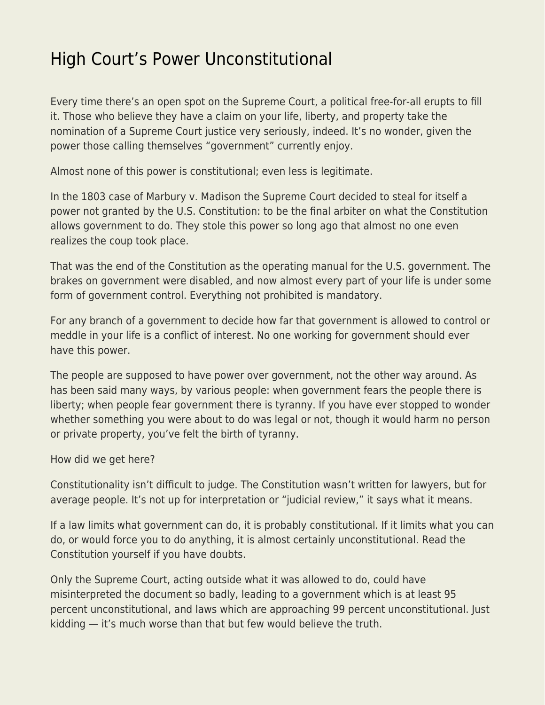## [High Court's Power Unconstitutional](https://everything-voluntary.com/high-courts-power-unconstitutional)

Every time there's an open spot on the Supreme Court, a political free-for-all erupts to fill it. Those who believe they have a claim on your life, liberty, and property take the nomination of a Supreme Court justice very seriously, indeed. It's no wonder, given the power those calling themselves "government" currently enjoy.

Almost none of this power is constitutional; even less is legitimate.

In the 1803 case of Marbury v. Madison the Supreme Court decided to steal for itself a power not granted by the U.S. Constitution: to be the final arbiter on what the Constitution allows government to do. They stole this power so long ago that almost no one even realizes the coup took place.

That was the end of the Constitution as the operating manual for the U.S. government. The brakes on government were disabled, and now almost every part of your life is under some form of government control. Everything not prohibited is mandatory.

For any branch of a government to decide how far that government is allowed to control or meddle in your life is a conflict of interest. No one working for government should ever have this power.

The people are supposed to have power over government, not the other way around. As has been said many ways, by various people: when government fears the people there is liberty; when people fear government there is tyranny. If you have ever stopped to wonder whether something you were about to do was legal or not, though it would harm no person or private property, you've felt the birth of tyranny.

How did we get here?

Constitutionality isn't difficult to judge. The Constitution wasn't written for lawyers, but for average people. It's not up for interpretation or "judicial review," it says what it means.

If a law limits what government can do, it is probably constitutional. If it limits what you can do, or would force you to do anything, it is almost certainly unconstitutional. Read the Constitution yourself if you have doubts.

Only the Supreme Court, acting outside what it was allowed to do, could have misinterpreted the document so badly, leading to a government which is at least 95 percent unconstitutional, and laws which are approaching 99 percent unconstitutional. Just kidding — it's much worse than that but few would believe the truth.